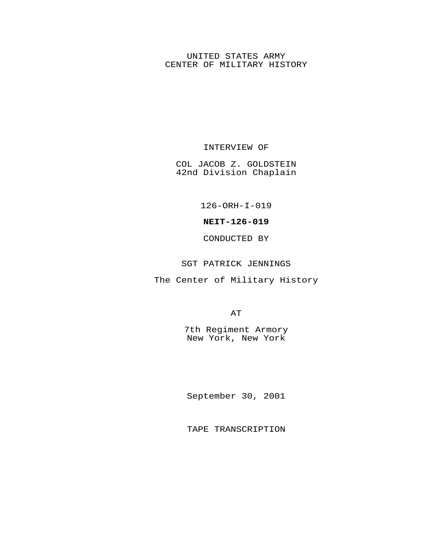# UNITED STATES ARMY CENTER OF MILITARY HISTORY

# INTERVIEW OF

COL JACOB Z. GOLDSTEIN 42nd Division Chaplain

126-ORH-I-019

### **NEIT-126-019**

# CONDUCTED BY

#### SGT PATRICK JENNINGS

The Center of Military History

AT

7th Regiment Armory New York, New York

September 30, 2001

TAPE TRANSCRIPTION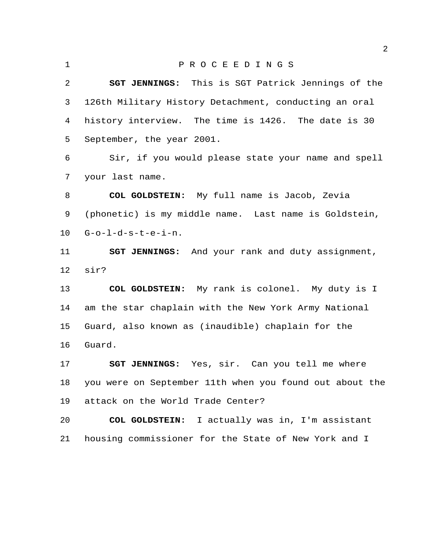P R O C E E D I N G S **SGT JENNINGS:** This is SGT Patrick Jennings of the 126th Military History Detachment, conducting an oral history interview. The time is 1426. The date is 30 September, the year 2001. Sir, if you would please state your name and spell your last name. **COL GOLDSTEIN:** My full name is Jacob, Zevia (phonetic) is my middle name. Last name is Goldstein, G-o-l-d-s-t-e-i-n. **SGT JENNINGS:** And your rank and duty assignment, sir? **COL GOLDSTEIN:** My rank is colonel. My duty is I am the star chaplain with the New York Army National Guard, also known as (inaudible) chaplain for the Guard. **SGT JENNINGS:** Yes, sir. Can you tell me where you were on September 11th when you found out about the

attack on the World Trade Center?

 **COL GOLDSTEIN:** I actually was in, I'm assistant housing commissioner for the State of New York and I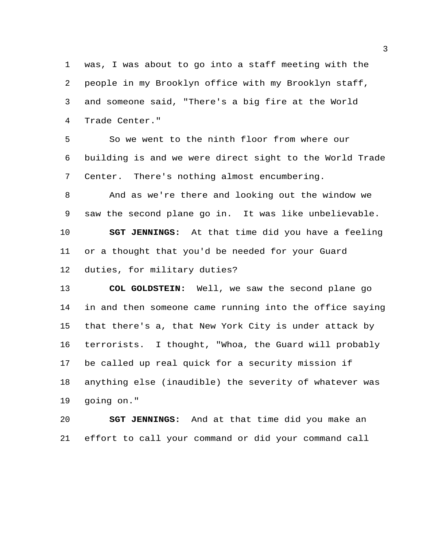was, I was about to go into a staff meeting with the people in my Brooklyn office with my Brooklyn staff, and someone said, "There's a big fire at the World Trade Center."

 So we went to the ninth floor from where our building is and we were direct sight to the World Trade Center. There's nothing almost encumbering.

 And as we're there and looking out the window we saw the second plane go in. It was like unbelievable. **SGT JENNINGS:** At that time did you have a feeling or a thought that you'd be needed for your Guard duties, for military duties?

 **COL GOLDSTEIN:** Well, we saw the second plane go in and then someone came running into the office saying that there's a, that New York City is under attack by terrorists. I thought, "Whoa, the Guard will probably be called up real quick for a security mission if anything else (inaudible) the severity of whatever was going on."

 **SGT JENNINGS:** And at that time did you make an effort to call your command or did your command call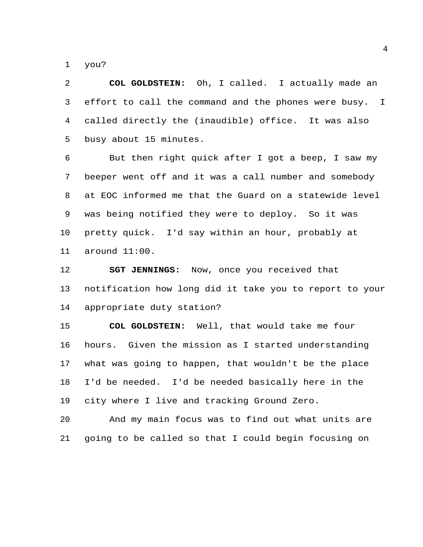you?

 **COL GOLDSTEIN:** Oh, I called. I actually made an effort to call the command and the phones were busy. I called directly the (inaudible) office. It was also busy about 15 minutes.

 But then right quick after I got a beep, I saw my beeper went off and it was a call number and somebody at EOC informed me that the Guard on a statewide level was being notified they were to deploy. So it was pretty quick. I'd say within an hour, probably at around 11:00.

 **SGT JENNINGS:** Now, once you received that notification how long did it take you to report to your appropriate duty station?

 **COL GOLDSTEIN:** Well, that would take me four hours. Given the mission as I started understanding what was going to happen, that wouldn't be the place I'd be needed. I'd be needed basically here in the city where I live and tracking Ground Zero.

 And my main focus was to find out what units are going to be called so that I could begin focusing on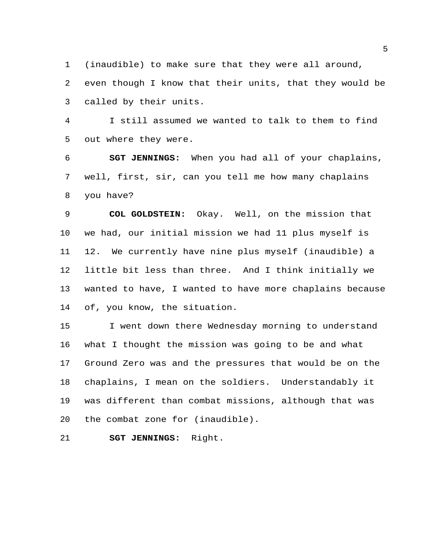(inaudible) to make sure that they were all around, even though I know that their units, that they would be called by their units.

 I still assumed we wanted to talk to them to find out where they were.

 **SGT JENNINGS:** When you had all of your chaplains, well, first, sir, can you tell me how many chaplains you have?

 **COL GOLDSTEIN:** Okay. Well, on the mission that we had, our initial mission we had 11 plus myself is 12. We currently have nine plus myself (inaudible) a little bit less than three. And I think initially we wanted to have, I wanted to have more chaplains because of, you know, the situation.

15 I went down there Wednesday morning to understand what I thought the mission was going to be and what Ground Zero was and the pressures that would be on the chaplains, I mean on the soldiers. Understandably it was different than combat missions, although that was the combat zone for (inaudible).

**SGT JENNINGS:** Right.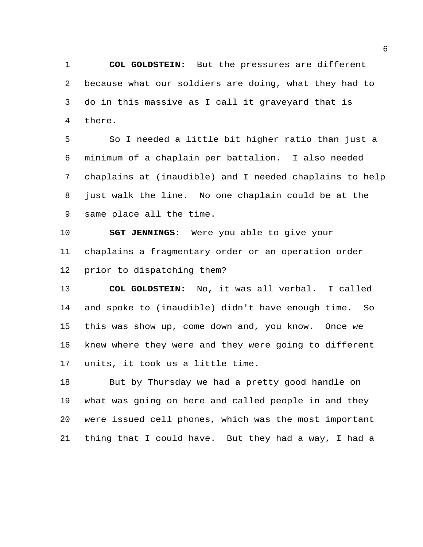**COL GOLDSTEIN:** But the pressures are different because what our soldiers are doing, what they had to do in this massive as I call it graveyard that is there.

 So I needed a little bit higher ratio than just a minimum of a chaplain per battalion. I also needed chaplains at (inaudible) and I needed chaplains to help just walk the line. No one chaplain could be at the same place all the time.

 **SGT JENNINGS:** Were you able to give your chaplains a fragmentary order or an operation order prior to dispatching them?

 **COL GOLDSTEIN:** No, it was all verbal. I called and spoke to (inaudible) didn't have enough time. So this was show up, come down and, you know. Once we knew where they were and they were going to different units, it took us a little time.

 But by Thursday we had a pretty good handle on what was going on here and called people in and they were issued cell phones, which was the most important thing that I could have. But they had a way, I had a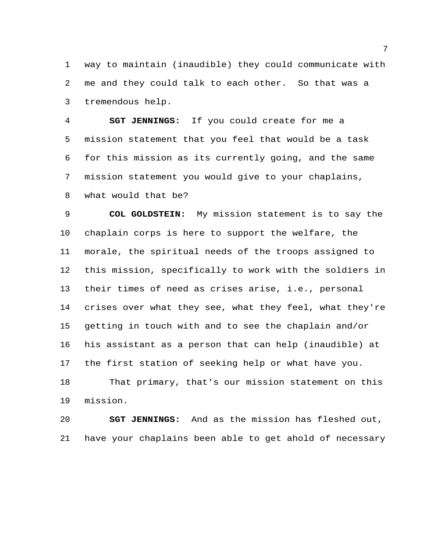way to maintain (inaudible) they could communicate with me and they could talk to each other. So that was a tremendous help.

 **SGT JENNINGS:** If you could create for me a mission statement that you feel that would be a task for this mission as its currently going, and the same mission statement you would give to your chaplains, what would that be?

 **COL GOLDSTEIN:** My mission statement is to say the chaplain corps is here to support the welfare, the morale, the spiritual needs of the troops assigned to this mission, specifically to work with the soldiers in their times of need as crises arise, i.e., personal crises over what they see, what they feel, what they're getting in touch with and to see the chaplain and/or his assistant as a person that can help (inaudible) at the first station of seeking help or what have you. That primary, that's our mission statement on this mission.

 **SGT JENNINGS:** And as the mission has fleshed out, have your chaplains been able to get ahold of necessary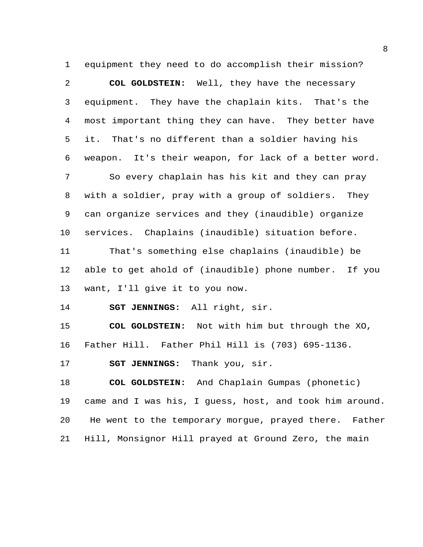equipment they need to do accomplish their mission?

 **COL GOLDSTEIN:** Well, they have the necessary equipment. They have the chaplain kits. That's the most important thing they can have. They better have it. That's no different than a soldier having his weapon. It's their weapon, for lack of a better word. So every chaplain has his kit and they can pray with a soldier, pray with a group of soldiers. They can organize services and they (inaudible) organize services. Chaplains (inaudible) situation before. That's something else chaplains (inaudible) be able to get ahold of (inaudible) phone number. If you want, I'll give it to you now. **SGT JENNINGS:** All right, sir. **COL GOLDSTEIN:** Not with him but through the XO, Father Hill. Father Phil Hill is (703) 695-1136. **SGT JENNINGS:** Thank you, sir. **COL GOLDSTEIN:** And Chaplain Gumpas (phonetic) came and I was his, I guess, host, and took him around.

Hill, Monsignor Hill prayed at Ground Zero, the main

He went to the temporary morgue, prayed there. Father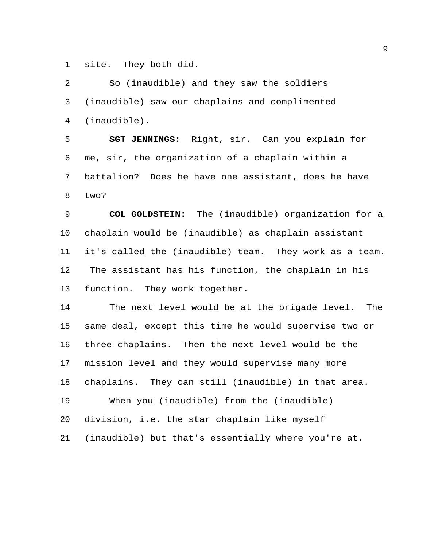site. They both did.

 So (inaudible) and they saw the soldiers (inaudible) saw our chaplains and complimented (inaudible). **SGT JENNINGS:** Right, sir. Can you explain for me, sir, the organization of a chaplain within a battalion? Does he have one assistant, does he have two? **COL GOLDSTEIN:** The (inaudible) organization for a chaplain would be (inaudible) as chaplain assistant it's called the (inaudible) team. They work as a team. The assistant has his function, the chaplain in his function. They work together. The next level would be at the brigade level. The same deal, except this time he would supervise two or three chaplains. Then the next level would be the mission level and they would supervise many more chaplains. They can still (inaudible) in that area. When you (inaudible) from the (inaudible) division, i.e. the star chaplain like myself (inaudible) but that's essentially where you're at.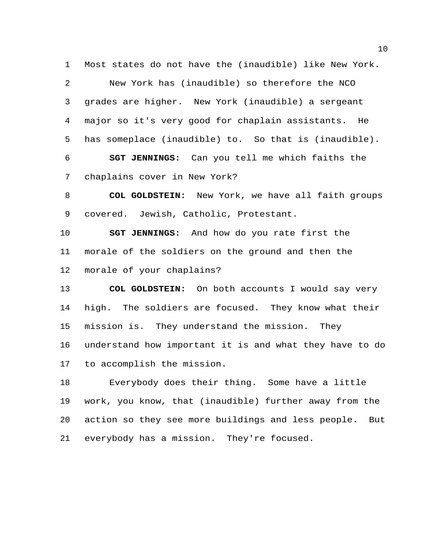Most states do not have the (inaudible) like New York.

 New York has (inaudible) so therefore the NCO grades are higher. New York (inaudible) a sergeant major so it's very good for chaplain assistants. He has someplace (inaudible) to. So that is (inaudible).

 **SGT JENNINGS:** Can you tell me which faiths the chaplains cover in New York?

 **COL GOLDSTEIN:** New York, we have all faith groups covered. Jewish, Catholic, Protestant.

 **SGT JENNINGS:** And how do you rate first the morale of the soldiers on the ground and then the morale of your chaplains?

 **COL GOLDSTEIN:** On both accounts I would say very high. The soldiers are focused. They know what their mission is. They understand the mission. They understand how important it is and what they have to do to accomplish the mission.

 Everybody does their thing. Some have a little work, you know, that (inaudible) further away from the action so they see more buildings and less people. But everybody has a mission. They're focused.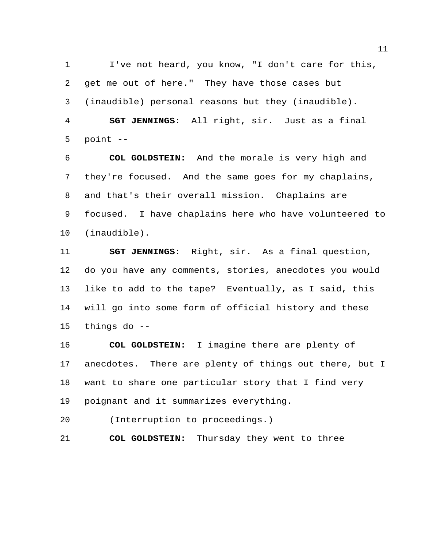I've not heard, you know, "I don't care for this, get me out of here." They have those cases but (inaudible) personal reasons but they (inaudible). **SGT JENNINGS:** All right, sir. Just as a final point --

 **COL GOLDSTEIN:** And the morale is very high and they're focused. And the same goes for my chaplains, and that's their overall mission. Chaplains are focused. I have chaplains here who have volunteered to (inaudible).

 **SGT JENNINGS:** Right, sir. As a final question, do you have any comments, stories, anecdotes you would like to add to the tape? Eventually, as I said, this will go into some form of official history and these things do --

 **COL GOLDSTEIN:** I imagine there are plenty of anecdotes. There are plenty of things out there, but I want to share one particular story that I find very poignant and it summarizes everything.

(Interruption to proceedings.)

**COL GOLDSTEIN:** Thursday they went to three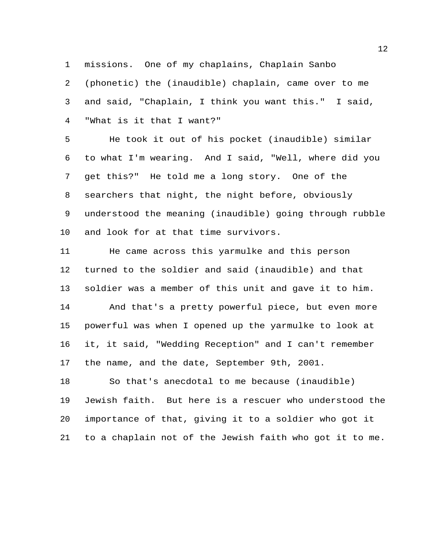missions. One of my chaplains, Chaplain Sanbo

 (phonetic) the (inaudible) chaplain, came over to me and said, "Chaplain, I think you want this." I said, "What is it that I want?"

 He took it out of his pocket (inaudible) similar to what I'm wearing. And I said, "Well, where did you get this?" He told me a long story. One of the searchers that night, the night before, obviously understood the meaning (inaudible) going through rubble and look for at that time survivors.

 He came across this yarmulke and this person turned to the soldier and said (inaudible) and that soldier was a member of this unit and gave it to him. And that's a pretty powerful piece, but even more powerful was when I opened up the yarmulke to look at it, it said, "Wedding Reception" and I can't remember the name, and the date, September 9th, 2001.

 So that's anecdotal to me because (inaudible) Jewish faith. But here is a rescuer who understood the importance of that, giving it to a soldier who got it to a chaplain not of the Jewish faith who got it to me.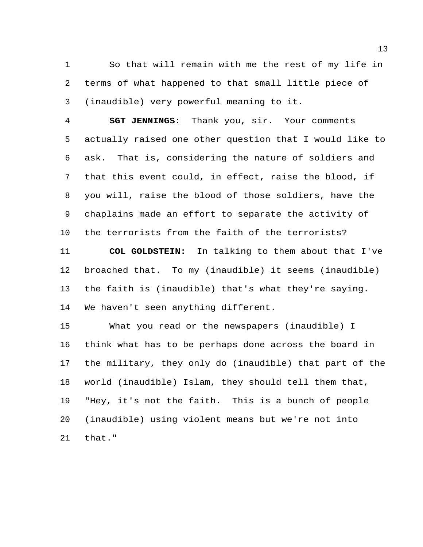So that will remain with me the rest of my life in terms of what happened to that small little piece of (inaudible) very powerful meaning to it.

 **SGT JENNINGS:** Thank you, sir. Your comments actually raised one other question that I would like to ask. That is, considering the nature of soldiers and that this event could, in effect, raise the blood, if you will, raise the blood of those soldiers, have the chaplains made an effort to separate the activity of the terrorists from the faith of the terrorists?

 **COL GOLDSTEIN:** In talking to them about that I've broached that. To my (inaudible) it seems (inaudible) the faith is (inaudible) that's what they're saying. We haven't seen anything different.

 What you read or the newspapers (inaudible) I think what has to be perhaps done across the board in the military, they only do (inaudible) that part of the world (inaudible) Islam, they should tell them that, "Hey, it's not the faith. This is a bunch of people (inaudible) using violent means but we're not into that."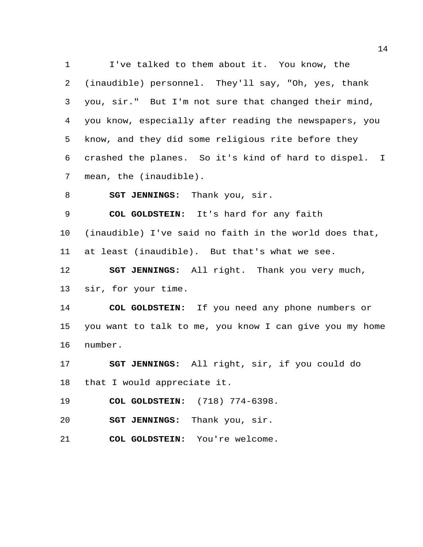I've talked to them about it. You know, the (inaudible) personnel. They'll say, "Oh, yes, thank you, sir." But I'm not sure that changed their mind, you know, especially after reading the newspapers, you know, and they did some religious rite before they crashed the planes. So it's kind of hard to dispel. I mean, the (inaudible). **SGT JENNINGS:** Thank you, sir. **COL GOLDSTEIN:** It's hard for any faith (inaudible) I've said no faith in the world does that, at least (inaudible). But that's what we see. **SGT JENNINGS:** All right. Thank you very much, sir, for your time. **COL GOLDSTEIN:** If you need any phone numbers or you want to talk to me, you know I can give you my home number. **SGT JENNINGS:** All right, sir, if you could do that I would appreciate it. **COL GOLDSTEIN:** (718) 774-6398. **SGT JENNINGS:** Thank you, sir. **COL GOLDSTEIN:** You're welcome.